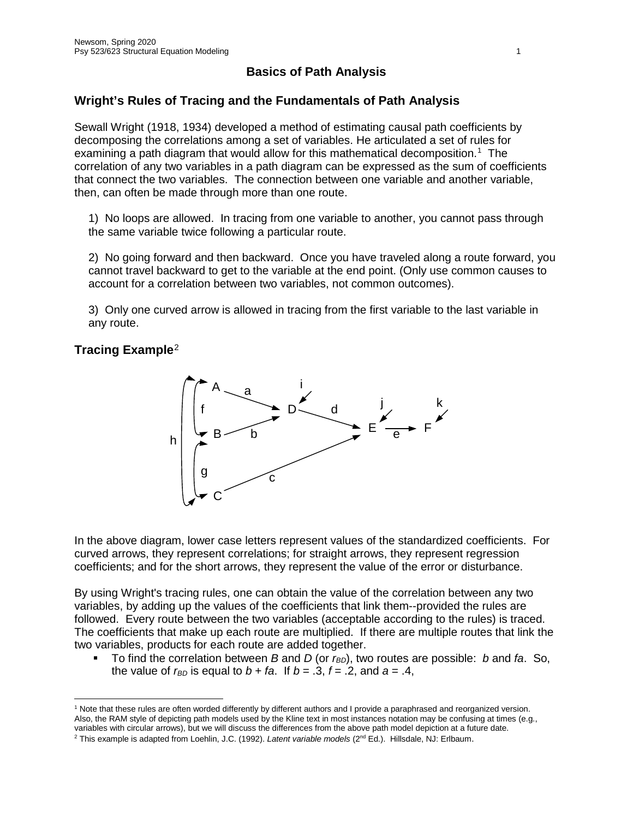# **Basics of Path Analysis**

## **Wright's Rules of Tracing and the Fundamentals of Path Analysis**

Sewall Wright (1918, 1934) developed a method of estimating causal path coefficients by decomposing the correlations among a set of variables. He articulated a set of rules for examining a path diagram that would allow for this mathematical decomposition.<sup>[1](#page-0-0)</sup> The correlation of any two variables in a path diagram can be expressed as the sum of coefficients that connect the two variables. The connection between one variable and another variable, then, can often be made through more than one route.

1) No loops are allowed. In tracing from one variable to another, you cannot pass through the same variable twice following a particular route.

2) No going forward and then backward. Once you have traveled along a route forward, you cannot travel backward to get to the variable at the end point. (Only use common causes to account for a correlation between two variables, not common outcomes).

3) Only one curved arrow is allowed in tracing from the first variable to the last variable in any route.

## **Tracing Example**[2](#page-0-1)



In the above diagram, lower case letters represent values of the standardized coefficients. For curved arrows, they represent correlations; for straight arrows, they represent regression coefficients; and for the short arrows, they represent the value of the error or disturbance.

By using Wright's tracing rules, one can obtain the value of the correlation between any two variables, by adding up the values of the coefficients that link them--provided the rules are followed. Every route between the two variables (acceptable according to the rules) is traced. The coefficients that make up each route are multiplied. If there are multiple routes that link the two variables, products for each route are added together.

■ To find the correlation between *B* and *D* (or *r<sub>BD</sub>*), two routes are possible: *b* and *fa*. So, the value of  $r_{BD}$  is equal to  $b + fa$ . If  $b = .3$ ,  $f = .2$ , and  $a = .4$ ,

<span id="page-0-0"></span> $\overline{a}$ <sup>1</sup> Note that these rules are often worded differently by different authors and I provide a paraphrased and reorganized version. Also, the RAM style of depicting path models used by the Kline text in most instances notation may be confusing at times (e.g., variables with circular arrows), but we will discuss the differences from the above path model depiction at a future date.

<span id="page-0-1"></span><sup>2</sup> This example is adapted from Loehlin, J.C. (1992). *Latent variable models* (2nd Ed.). Hillsdale, NJ: Erlbaum.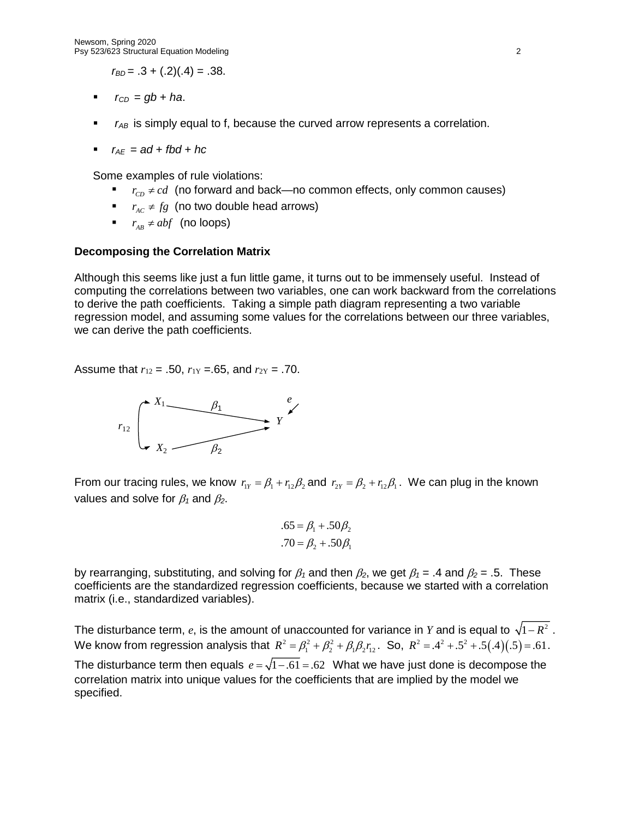$r_{BD} = .3 + (.2)(.4) = .38$ .

- $r_{CD} = gb + ha$ .
- **F**  $r_{AB}$  is simply equal to f, because the curved arrow represents a correlation.
- *r*<sub>*AE*</sub> =  $ad + fbd + hc$

Some examples of rule violations:

- $r_{cn} \neq cd$  (no forward and back—no common effects, only common causes)
- *r*  $r_{AC} \neq fg$  (no two double head arrows)
- *r*<sub>*AB</sub>*  $\neq$  *abf* (no loops)</sub>

#### **Decomposing the Correlation Matrix**

Although this seems like just a fun little game, it turns out to be immensely useful. Instead of computing the correlations between two variables, one can work backward from the correlations to derive the path coefficients. Taking a simple path diagram representing a two variable regression model, and assuming some values for the correlations between our three variables, we can derive the path coefficients.

Assume that  $r_{12} = .50$ ,  $r_{1Y} = .65$ , and  $r_{2Y} = .70$ .



From our tracing rules, we know  $r_{1y} = \beta_1 + r_{12} \beta_2$  and  $r_{2y} = \beta_2 + r_{12} \beta_1$ . We can plug in the known values and solve for  $\beta_1$  and  $\beta_2$ .

$$
.65 = \beta_1 + .50\beta_2
$$
  
.70 =  $\beta_2 + .50\beta_1$ 

by rearranging, substituting, and solving for  $\beta_1$  and then  $\beta_2$ , we get  $\beta_1 = .4$  and  $\beta_2 = .5$ . These coefficients are the standardized regression coefficients, because we started with a correlation matrix (i.e., standardized variables).

The disturbance term,  $e$ , is the amount of unaccounted for variance in *Y* and is equal to  $\sqrt{1-R^2}$ . We know from regression analysis that  $R^2 = \beta_1^2 + \beta_2^2 + \beta_1 \beta_2 r_1$ . So,  $R^2 = A^2 + .5^2 + .5(.4)(.5) = .61$ . The disturbance term then equals  $e = \sqrt{1-.61} = .62$  What we have just done is decompose the correlation matrix into unique values for the coefficients that are implied by the model we specified.